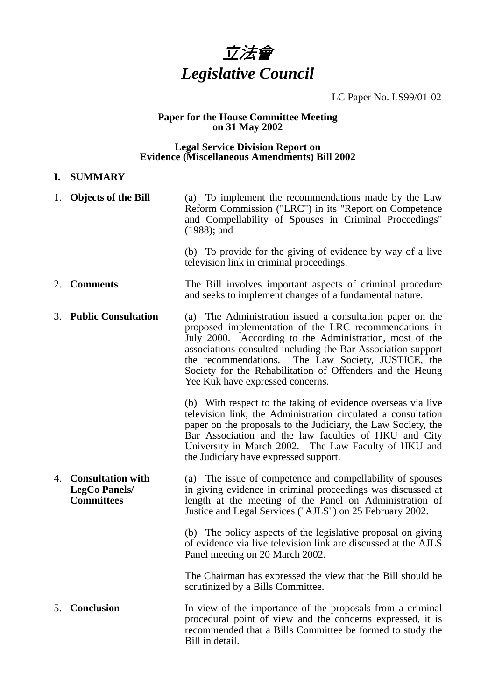

LC Paper No. LS99/01-02

#### **Paper for the House Committee Meeting on 31 May 2002**

#### **Legal Service Division Report on Evidence (Miscellaneous Amendments) Bill 2002**

### **I. SUMMARY**

|    | 1. Objects of the Bill                                                | (a) To implement the recommendations made by the Law<br>Reform Commission ("LRC") in its "Report on Competence<br>and Compellability of Spouses in Criminal Proceedings"<br>$(1988)$ ; and                                                                                                                                                                                                              |
|----|-----------------------------------------------------------------------|---------------------------------------------------------------------------------------------------------------------------------------------------------------------------------------------------------------------------------------------------------------------------------------------------------------------------------------------------------------------------------------------------------|
|    |                                                                       | (b) To provide for the giving of evidence by way of a live<br>television link in criminal proceedings.                                                                                                                                                                                                                                                                                                  |
| 2. | <b>Comments</b>                                                       | The Bill involves important aspects of criminal procedure<br>and seeks to implement changes of a fundamental nature.                                                                                                                                                                                                                                                                                    |
| 3. | <b>Public Consultation</b>                                            | (a) The Administration issued a consultation paper on the<br>proposed implementation of the LRC recommendations in<br>July 2000. According to the Administration, most of the<br>associations consulted including the Bar Association support<br>The Law Society, JUSTICE, the<br>the recommendations.<br>Society for the Rehabilitation of Offenders and the Heung<br>Yee Kuk have expressed concerns. |
|    |                                                                       | (b) With respect to the taking of evidence overseas via live<br>television link, the Administration circulated a consultation<br>paper on the proposals to the Judiciary, the Law Society, the<br>Bar Association and the law faculties of HKU and City<br>University in March 2002. The Law Faculty of HKU and<br>the Judiciary have expressed support.                                                |
| 4. | <b>Consultation with</b><br><b>LegCo Panels/</b><br><b>Committees</b> | (a) The issue of competence and compellability of spouses<br>in giving evidence in criminal proceedings was discussed at<br>length at the meeting of the Panel on Administration of<br>Justice and Legal Services ("AJLS") on 25 February 2002.                                                                                                                                                         |
|    |                                                                       | (b) The policy aspects of the legislative proposal on giving<br>of evidence via live television link are discussed at the AJLS<br>Panel meeting on 20 March 2002.                                                                                                                                                                                                                                       |
|    |                                                                       | The Chairman has expressed the view that the Bill should be<br>scrutinized by a Bills Committee.                                                                                                                                                                                                                                                                                                        |
| 5. | <b>Conclusion</b>                                                     | In view of the importance of the proposals from a criminal<br>procedural point of view and the concerns expressed, it is<br>recommended that a Bills Committee be formed to study the<br>Bill in detail.                                                                                                                                                                                                |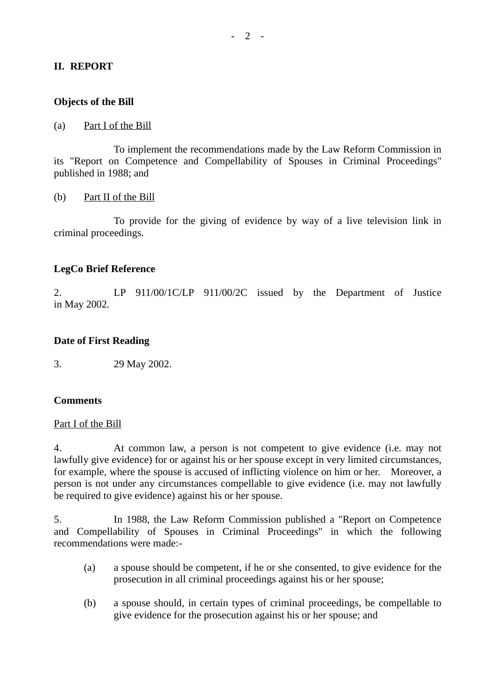# **II. REPORT**

# **Objects of the Bill**

### (a) Part I of the Bill

To implement the recommendations made by the Law Reform Commission in its "Report on Competence and Compellability of Spouses in Criminal Proceedings" published in 1988; and

### (b) Part II of the Bill

To provide for the giving of evidence by way of a live television link in criminal proceedings.

# **LegCo Brief Reference**

2. LP 911/00/1C/LP 911/00/2C issued by the Department of Justice in May 2002.

# **Date of First Reading**

3. 29 May 2002.

#### **Comments**

#### Part I of the Bill

4. At common law, a person is not competent to give evidence (i.e. may not lawfully give evidence) for or against his or her spouse except in very limited circumstances, for example, where the spouse is accused of inflicting violence on him or her. Moreover, a person is not under any circumstances compellable to give evidence (i.e. may not lawfully be required to give evidence) against his or her spouse.

5. In 1988, the Law Reform Commission published a "Report on Competence and Compellability of Spouses in Criminal Proceedings" in which the following recommendations were made:-

- (a) a spouse should be competent, if he or she consented, to give evidence for the prosecution in all criminal proceedings against his or her spouse;
- (b) a spouse should, in certain types of criminal proceedings, be compellable to give evidence for the prosecution against his or her spouse; and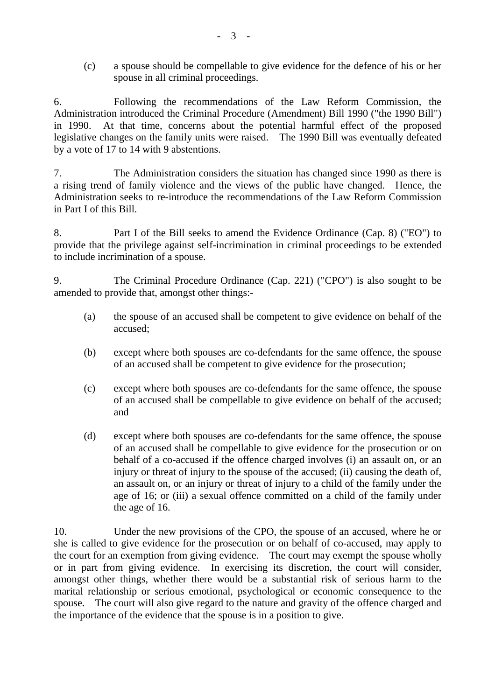(c) a spouse should be compellable to give evidence for the defence of his or her spouse in all criminal proceedings.

6. Following the recommendations of the Law Reform Commission, the Administration introduced the Criminal Procedure (Amendment) Bill 1990 ("the 1990 Bill") in 1990. At that time, concerns about the potential harmful effect of the proposed legislative changes on the family units were raised. The 1990 Bill was eventually defeated by a vote of 17 to 14 with 9 abstentions.

7. The Administration considers the situation has changed since 1990 as there is a rising trend of family violence and the views of the public have changed. Hence, the Administration seeks to re-introduce the recommendations of the Law Reform Commission in Part I of this Bill.

8. Part I of the Bill seeks to amend the Evidence Ordinance (Cap. 8) ("EO") to provide that the privilege against self-incrimination in criminal proceedings to be extended to include incrimination of a spouse.

9. The Criminal Procedure Ordinance (Cap. 221) ("CPO") is also sought to be amended to provide that, amongst other things:-

- (a) the spouse of an accused shall be competent to give evidence on behalf of the accused;
- (b) except where both spouses are co-defendants for the same offence, the spouse of an accused shall be competent to give evidence for the prosecution;
- (c) except where both spouses are co-defendants for the same offence, the spouse of an accused shall be compellable to give evidence on behalf of the accused; and
- (d) except where both spouses are co-defendants for the same offence, the spouse of an accused shall be compellable to give evidence for the prosecution or on behalf of a co-accused if the offence charged involves (i) an assault on, or an injury or threat of injury to the spouse of the accused; (ii) causing the death of, an assault on, or an injury or threat of injury to a child of the family under the age of 16; or (iii) a sexual offence committed on a child of the family under the age of 16.

10. Under the new provisions of the CPO, the spouse of an accused, where he or she is called to give evidence for the prosecution or on behalf of co-accused, may apply to the court for an exemption from giving evidence. The court may exempt the spouse wholly or in part from giving evidence. In exercising its discretion, the court will consider, amongst other things, whether there would be a substantial risk of serious harm to the marital relationship or serious emotional, psychological or economic consequence to the spouse. The court will also give regard to the nature and gravity of the offence charged and the importance of the evidence that the spouse is in a position to give.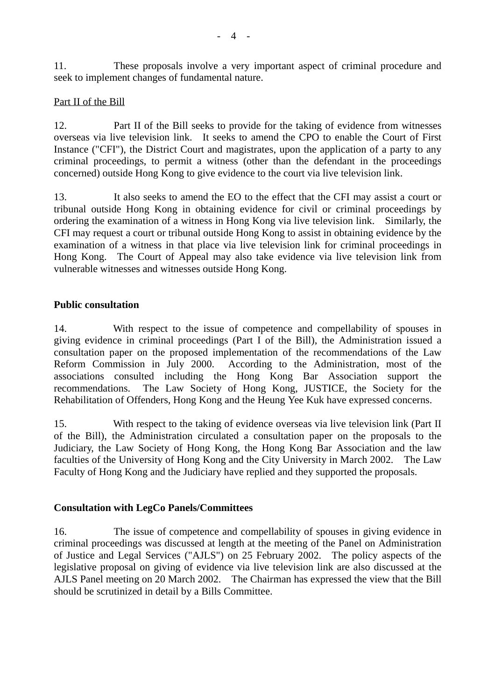11. These proposals involve a very important aspect of criminal procedure and seek to implement changes of fundamental nature.

# Part II of the Bill

12. Part II of the Bill seeks to provide for the taking of evidence from witnesses overseas via live television link. It seeks to amend the CPO to enable the Court of First Instance ("CFI"), the District Court and magistrates, upon the application of a party to any criminal proceedings, to permit a witness (other than the defendant in the proceedings concerned) outside Hong Kong to give evidence to the court via live television link.

13. It also seeks to amend the EO to the effect that the CFI may assist a court or tribunal outside Hong Kong in obtaining evidence for civil or criminal proceedings by ordering the examination of a witness in Hong Kong via live television link. Similarly, the CFI may request a court or tribunal outside Hong Kong to assist in obtaining evidence by the examination of a witness in that place via live television link for criminal proceedings in Hong Kong. The Court of Appeal may also take evidence via live television link from vulnerable witnesses and witnesses outside Hong Kong.

# **Public consultation**

14. With respect to the issue of competence and compellability of spouses in giving evidence in criminal proceedings (Part I of the Bill), the Administration issued a consultation paper on the proposed implementation of the recommendations of the Law Reform Commission in July 2000. According to the Administration, most of the associations consulted including the Hong Kong Bar Association support the recommendations. The Law Society of Hong Kong, JUSTICE, the Society for the Rehabilitation of Offenders, Hong Kong and the Heung Yee Kuk have expressed concerns.

15. With respect to the taking of evidence overseas via live television link (Part II of the Bill), the Administration circulated a consultation paper on the proposals to the Judiciary, the Law Society of Hong Kong, the Hong Kong Bar Association and the law faculties of the University of Hong Kong and the City University in March 2002. The Law Faculty of Hong Kong and the Judiciary have replied and they supported the proposals.

# **Consultation with LegCo Panels/Committees**

16. The issue of competence and compellability of spouses in giving evidence in criminal proceedings was discussed at length at the meeting of the Panel on Administration of Justice and Legal Services ("AJLS") on 25 February 2002. The policy aspects of the legislative proposal on giving of evidence via live television link are also discussed at the AJLS Panel meeting on 20 March 2002. The Chairman has expressed the view that the Bill should be scrutinized in detail by a Bills Committee.